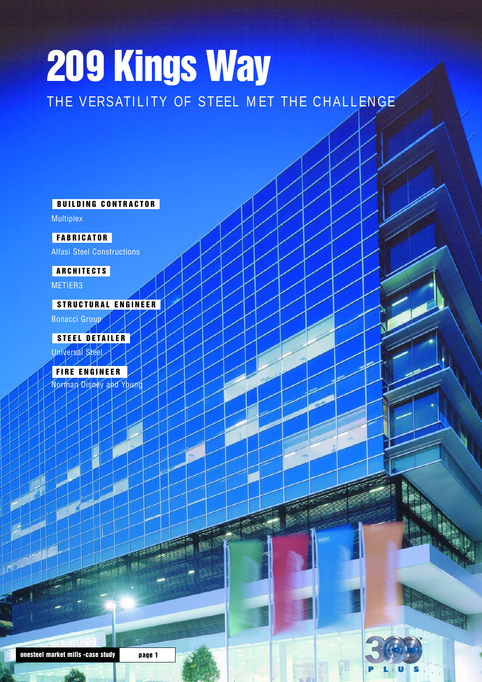# **209 Kings Way** THE VERSATILITY OF STEEL MET THE CHALLENGE

**BUILDING CONTRACTOR**

Multiplex

**F ABRICATOR**

Alfasi Steel Constructions

#### **ARCHITECTS**

METIER3

#### **STRUCTURAL ENGINEER**

Bonacci Group

Universal Steel **STEEL DETAILER**

**FIRE ENGINEER**

Norman Disney and Young

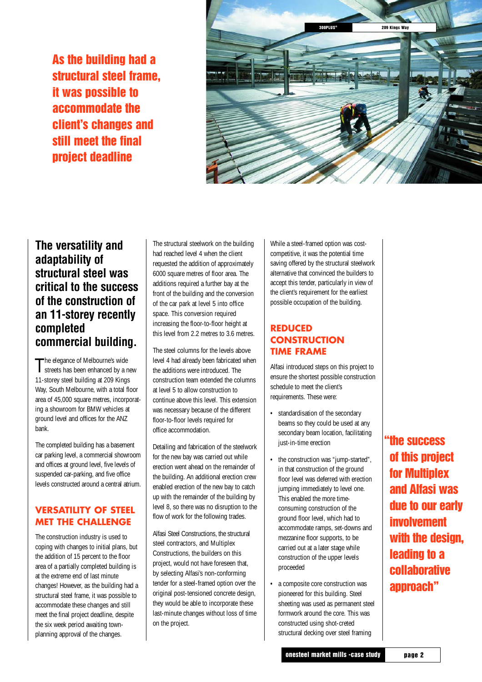**As the building had a structural steel frame, it was possible to accommodate the client's changes and still meet the final project deadline**



#### **The versatility and adaptability of structural steel was critical to the success of the construction of an 11-storey recently completed commercial building.**

The elegance of Melbourne's wide<br>streets has been enhanced by a r streets has been enhanced by a new 11-storey steel building at 209 Kings Way, South Melbourne, with a total floor area of 45,000 square metres, incorporating a showroom for BMW vehicles at ground level and offices for the ANZ bank.

The completed building has a basement car parking level, a commercial showroom and offices at ground level, five levels of suspended car-parking, and five office levels constructed around a central atrium.

#### **VERSATILITY OF STEEL MET THE CHALLENGE**

The construction industry is used to coping with changes to initial plans, but the addition of 15 percent to the floor area of a partially completed building is at the extreme end of last minute changes! However, as the building had a structural steel frame, it was possible to accommodate these changes and still meet the final project deadline, despite the six week period awaiting townplanning approval of the changes.

The structural steelwork on the building had reached level 4 when the client requested the addition of approximately 6000 square metres of floor area. The additions required a further bay at the front of the building and the conversion of the car park at level 5 into office space. This conversion required increasing the floor-to-floor height at this level from 2.2 metres to 3.6 metres.

The steel columns for the levels above level 4 had already been fabricated when the additions were introduced. The construction team extended the columns at level 5 to allow construction to continue above this level. This extension was necessary because of the different floor-to-floor levels required for office accommodation.

Detailing and fabrication of the steelwork for the new bay was carried out while erection went ahead on the remainder of the building. An additional erection crew enabled erection of the new bay to catch up with the remainder of the building by level 8, so there was no disruption to the flow of work for the following trades.

Alfasi Steel Constructions, the structural steel contractors, and Multiplex Constructions, the builders on this project, would not have foreseen that, by selecting Alfasi's non-conforming tender for a steel-framed option over the original post-tensioned concrete design, they would be able to incorporate these last-minute changes without loss of time on the project.

While a steel-framed option was costcompetitive, it was the potential time saving offered by the structural steelwork alternative that convinced the builders to accept this tender, particularly in view of the client's requirement for the earliest possible occupation of the building.

#### **REDUCED CONSTRUCTION TIME FRAME**

Alfasi introduced steps on this project to ensure the shortest possible construction schedule to meet the client's requirements. These were:

- standardisation of the secondary beams so they could be used at any secondary beam location, facilitating just-in-time erection
- the construction was "jump-started", in that construction of the ground floor level was deferred with erection jumping immediately to level one. This enabled the more timeconsuming construction of the ground floor level, which had to accommodate ramps, set-downs and mezzanine floor supports, to be carried out at a later stage while construction of the upper levels proceeded
- a composite core construction was pioneered for this building. Steel sheeting was used as permanent steel formwork around the core. This was constructed using shot-creted structural decking over steel framing

**the success "of this project for Multiplex and Alfasi was due to our early involvement with the design, leading to a collaborative approach"**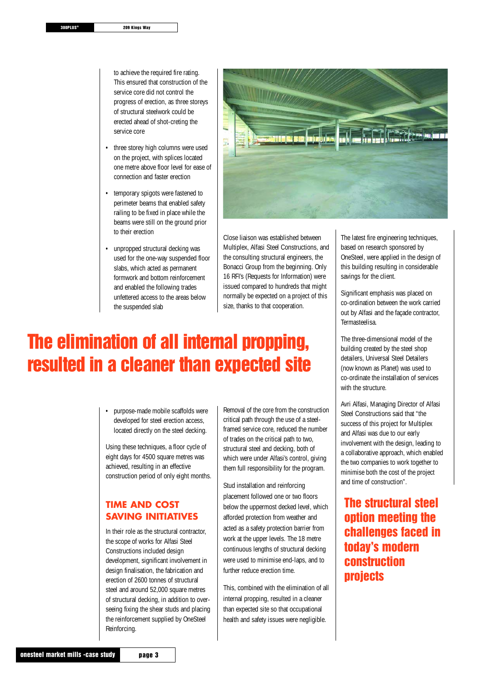to achieve the required fire rating. This ensured that construction of the service core did not control the progress of erection, as three storeys of structural steelwork could be erected ahead of shot-creting the service core

- three storey high columns were used on the project, with splices located one metre above floor level for ease of connection and faster erection
- temporary spigots were fastened to perimeter beams that enabled safety railing to be fixed in place while the beams were still on the ground prior to their erection
- unpropped structural decking was used for the one-way suspended floor slabs, which acted as permanent formwork and bottom reinforcement and enabled the following trades unfettered access to the areas below the suspended slab



Close liaison was established between Multiplex, Alfasi Steel Constructions, and the consulting structural engineers, the Bonacci Group from the beginning. Only 16 RFI's (Requests for Information) were issued compared to hundreds that might normally be expected on a project of this size, thanks to that cooperation.

### **The elimination of all internal propping, resulted in a cleaner than expected site**

• purpose-made mobile scaffolds were developed for steel erection access, located directly on the steel decking.

Using these techniques, a floor cycle of eight days for 4500 square metres was achieved, resulting in an effective construction period of only eight months.

#### **TIME AND COST SAVING INITIATIVES**

In their role as the structural contractor, the scope of works for Alfasi Steel Constructions included design development, significant involvement in design finalisation, the fabrication and erection of 2600 tonnes of structural steel and around 52,000 square metres of structural decking, in addition to overseeing fixing the shear studs and placing the reinforcement supplied by OneSteel Reinforcing.

Removal of the core from the construction critical path through the use of a steelframed service core, reduced the number of trades on the critical path to two, structural steel and decking, both of which were under Alfasi's control, giving them full responsibility for the program.

Stud installation and reinforcing placement followed one or two floors below the uppermost decked level, which afforded protection from weather and acted as a safety protection barrier from work at the upper levels. The 18 metre continuous lengths of structural decking were used to minimise end-laps, and to further reduce erection time.

This, combined with the elimination of all internal propping, resulted in a cleaner than expected site so that occupational health and safety issues were negligible.

The latest fire engineering techniques, based on research sponsored by OneSteel, were applied in the design of this building resulting in considerable savings for the client.

Significant emphasis was placed on co-ordination between the work carried out by Alfasi and the façade contractor, Termasteelisa.

The three-dimensional model of the building created by the steel shop detailers, Universal Steel Detailers (now known as Planet) was used to co-ordinate the installation of services with the structure.

Avri Alfasi, Managing Director of Alfasi Steel Constructions said that "the success of this project for Multiplex and Alfasi was due to our early involvement with the design, leading to a collaborative approach, which enabled the two companies to work together to minimise both the cost of the project and time of construction".

#### **The structural steel option meeting the challenges faced in today's modern construction projects**